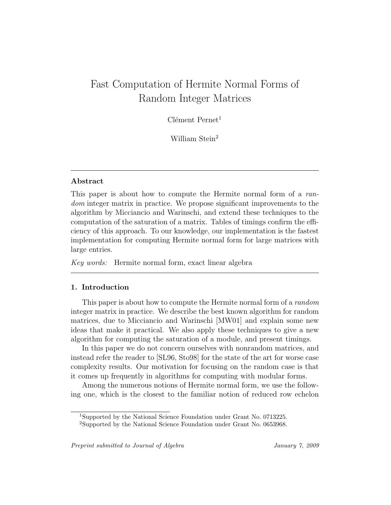# Fast Computation of Hermite Normal Forms of Random Integer Matrices

 $C$ lément Pernet<sup>1</sup>

William Stein<sup>2</sup>

## Abstract

This paper is about how to compute the Hermite normal form of a random integer matrix in practice. We propose significant improvements to the algorithm by Micciancio and Warinschi, and extend these techniques to the computation of the saturation of a matrix. Tables of timings confirm the efficiency of this approach. To our knowledge, our implementation is the fastest implementation for computing Hermite normal form for large matrices with large entries.

Key words: Hermite normal form, exact linear algebra

## 1. Introduction

This paper is about how to compute the Hermite normal form of a *random* integer matrix in practice. We describe the best known algorithm for random matrices, due to Micciancio and Warinschi [MW01] and explain some new ideas that make it practical. We also apply these techniques to give a new algorithm for computing the saturation of a module, and present timings.

In this paper we do not concern ourselves with nonrandom matrices, and instead refer the reader to [SL96, Sto98] for the state of the art for worse case complexity results. Our motivation for focusing on the random case is that it comes up frequently in algorithms for computing with modular forms.

Among the numerous notions of Hermite normal form, we use the following one, which is the closest to the familiar notion of reduced row echelon

<sup>1</sup>Supported by the National Science Foundation under Grant No. 0713225.

<sup>2</sup>Supported by the National Science Foundation under Grant No. 0653968.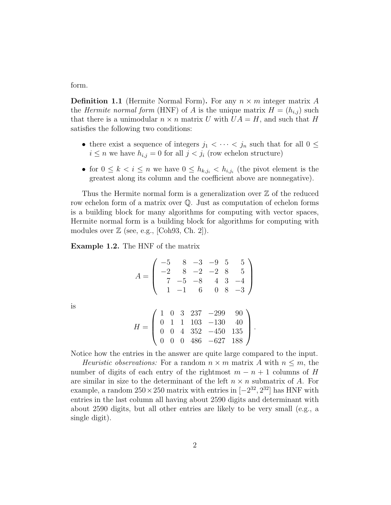form.

is

**Definition 1.1** (Hermite Normal Form). For any  $n \times m$  integer matrix A the *Hermite normal form* (HNF) of A is the unique matrix  $H = (h_{i,j})$  such that there is a unimodular  $n \times n$  matrix U with  $UA = H$ , and such that H satisfies the following two conditions:

- there exist a sequence of integers  $j_1 < \cdots < j_n$  such that for all  $0 \leq$  $i \leq n$  we have  $h_{i,j} = 0$  for all  $j < j_i$  (row echelon structure)
- for  $0 \leq k \leq i \leq n$  we have  $0 \leq h_{k,j_i} < h_{i,j_i}$  (the pivot element is the greatest along its column and the coefficient above are nonnegative).

Thus the Hermite normal form is a generalization over  $\mathbb Z$  of the reduced row echelon form of a matrix over Q. Just as computation of echelon forms is a building block for many algorithms for computing with vector spaces, Hermite normal form is a building block for algorithms for computing with modules over  $\mathbb Z$  (see, e.g., [Coh93, Ch. 2]).

Example 1.2. The HNF of the matrix

$$
A = \begin{pmatrix} -5 & 8 & -3 & -9 & 5 & 5 \\ -2 & 8 & -2 & -2 & 8 & 5 \\ 7 & -5 & -8 & 4 & 3 & -4 \\ 1 & -1 & 6 & 0 & 8 & -3 \end{pmatrix}
$$

$$
H = \begin{pmatrix} 1 & 0 & 3 & 237 & -299 & 90 \\ 0 & 1 & 1 & 103 & -130 & 40 \\ 0 & 0 & 4 & 352 & -450 & 135 \\ 0 & 0 & 0 & 486 & -627 & 188 \end{pmatrix}.
$$

Notice how the entries in the answer are quite large compared to the input.

Heuristic observations: For a random  $n \times m$  matrix A with  $n \leq m$ , the number of digits of each entry of the rightmost  $m - n + 1$  columns of H are similar in size to the determinant of the left  $n \times n$  submatrix of A. For example, a random  $250 \times 250$  matrix with entries in  $[-2^{32}, 2^{32}]$  has HNF with entries in the last column all having about 2590 digits and determinant with about 2590 digits, but all other entries are likely to be very small (e.g., a single digit).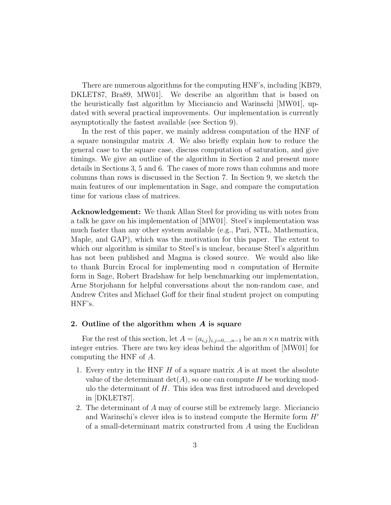There are numerous algorithms for the computing HNF's, including [KB79, DKLET87, Bra89, MW01]. We describe an algorithm that is based on the heuristically fast algorithm by Micciancio and Warinschi [MW01], updated with several practical improvements. Our implementation is currently asymptotically the fastest available (see Section 9).

In the rest of this paper, we mainly address computation of the HNF of a square nonsingular matrix A. We also briefly explain how to reduce the general case to the square case, discuss computation of saturation, and give timings. We give an outline of the algorithm in Section 2 and present more details in Sections 3, 5 and 6. The cases of more rows than columns and more columns than rows is discussed in the Section 7. In Section 9, we sketch the main features of our implementation in Sage, and compare the computation time for various class of matrices.

Acknowledgement: We thank Allan Steel for providing us with notes from a talk he gave on his implementation of [MW01]. Steel's implementation was much faster than any other system available (e.g., Pari, NTL, Mathematica, Maple, and GAP), which was the motivation for this paper. The extent to which our algorithm is similar to Steel's is unclear, because Steel's algorithm has not been published and Magma is closed source. We would also like to thank Burcin Erocal for implementing mod n computation of Hermite form in Sage, Robert Bradshaw for help benchmarking our implementation, Arne Storjohann for helpful conversations about the non-random case, and Andrew Crites and Michael Goff for their final student project on computing HNF's.

#### 2. Outline of the algorithm when A is square

For the rest of this section, let  $A = (a_{i,j})_{i,j=0,\dots,n-1}$  be an  $n \times n$  matrix with integer entries. There are two key ideas behind the algorithm of [MW01] for computing the HNF of A.

- 1. Every entry in the HNF  $H$  of a square matrix  $A$  is at most the absolute value of the determinant  $\det(A)$ , so one can compute H be working modulo the determinant of  $H$ . This idea was first introduced and developed in [DKLET87].
- 2. The determinant of A may of course still be extremely large. Micciancio and Warinschi's clever idea is to instead compute the Hermite form  $H'$ of a small-determinant matrix constructed from A using the Euclidean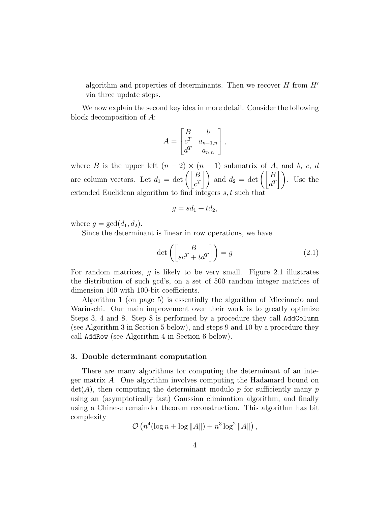algorithm and properties of determinants. Then we recover  $H$  from  $H'$ via three update steps.

We now explain the second key idea in more detail. Consider the following block decomposition of A:

$$
A = \begin{bmatrix} B & b \\ c^T & a_{n-1,n} \\ d^T & a_{n,n} \end{bmatrix},
$$

where B is the upper left  $(n-2) \times (n-1)$  submatrix of A, and b, c, d are column vectors. Let  $d_1 = \det \left( \begin{bmatrix} B \\ c^T \end{bmatrix} \right)$  and  $d_2 = \det \left( \begin{bmatrix} B \\ d^T \end{bmatrix} \right)$ . Use the extended Euclidean algorithm to find integers s, t such that

$$
g = sd_1 + td_2,
$$

where  $g = \gcd(d_1, d_2)$ .

Since the determinant is linear in row operations, we have

$$
\det\left(\begin{bmatrix} B \\ sc^T + td^T \end{bmatrix}\right) = g \tag{2.1}
$$

For random matrices,  $g$  is likely to be very small. Figure 2.1 illustrates the distribution of such gcd's, on a set of 500 random integer matrices of dimension 100 with 100-bit coefficients.

Algorithm 1 (on page 5) is essentially the algorithm of Micciancio and Warinschi. Our main improvement over their work is to greatly optimize Steps 3, 4 and 8. Step 8 is performed by a procedure they call AddColumn (see Algorithm 3 in Section 5 below), and steps 9 and 10 by a procedure they call AddRow (see Algorithm 4 in Section 6 below).

#### 3. Double determinant computation

There are many algorithms for computing the determinant of an integer matrix A. One algorithm involves computing the Hadamard bound on  $\det(A)$ , then computing the determinant modulo p for sufficiently many p using an (asymptotically fast) Gaussian elimination algorithm, and finally using a Chinese remainder theorem reconstruction. This algorithm has bit complexity

$$
\mathcal{O}\left(n^4(\log n + \log ||A||) + n^3\log^2 ||A||\right),\,
$$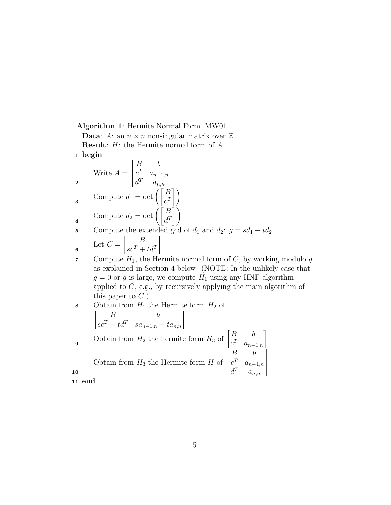Algorithm 1: Hermite Normal Form [MW01]

**Data:** A: an  $n \times n$  nonsingular matrix over  $\mathbb{Z}$ Result: H: the Hermite normal form of A <sup>1</sup> begin Write  $A =$  $\sqrt{ }$  $\overline{1}$ B b  $c^T \quad a_{n-1,n}$  $d^T \quad a_{n,n}$ 1  $\overline{ }$ 2 Compute  $d_1 = \det \left( \begin{bmatrix} B \\ c^T \end{bmatrix} \right)$  $\bigwedge$ 3 Compute  $d_2 = \det \left( \begin{bmatrix} B \\ d^T \end{bmatrix} \right)$  $\bigwedge$ 4 5 Compute the extended gcd of  $d_1$  and  $d_2$ :  $g = sd_1 + td_2$ Let  $C =$  $\begin{bmatrix} B \end{bmatrix}$  $sc^T + td^T$ 1 6 7 Compute  $H_1$ , the Hermite normal form of C, by working modulo g as explained in Section 4 below. (NOTE: In the unlikely case that  $g = 0$  or g is large, we compute  $H_1$  using any HNF algorithm applied to  $C$ , e.g., by recursively applying the main algorithm of this paper to  $C.$ ) 8 Obtain from  $H_1$  the Hermite form  $H_2$  of  $\begin{bmatrix} B & b \end{bmatrix}$  $\begin{array}{cc} B & b \\ sc^T + td^T & sa_{n-1,n} + ta_{n,n} \end{array}$ Obtain from  $H_2$  the hermite form  $H_3$  of  $\begin{bmatrix} B & b \ c & c \end{bmatrix}$  $\begin{bmatrix} B & b \ c^T & a_{n-1,n} \end{bmatrix}$ 9 Obtain from  $H_3$  the Hermite form  $H$  of  $\sqrt{ }$  $\vert$  $B \qquad b$  $c^T \quad a_{n-1,n}$  $d^T \quad a_{n,n}$ 1  $\overline{1}$ 10 <sup>11</sup> end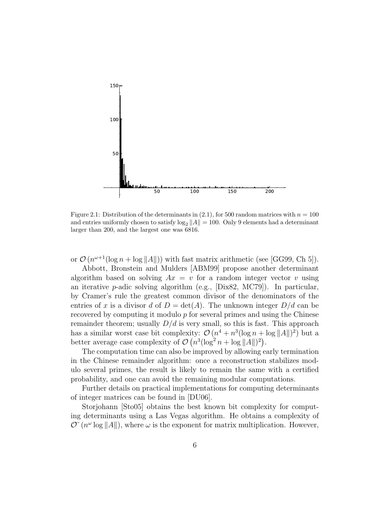

Figure 2.1: Distribution of the determinants in  $(2.1)$ , for 500 random matrices with  $n = 100$ and entries uniformly chosen to satisfy  $\log_2 ||A|| = 100$ . Only 9 elements had a determinant larger than 200, and the largest one was 6816.

or  $\mathcal{O}(n^{\omega+1}(\log n + \log ||A||))$  with fast matrix arithmetic (see [GG99, Ch 5]).

Abbott, Bronstein and Mulders [ABM99] propose another determinant algorithm based on solving  $Ax = v$  for a random integer vector v using an iterative *p*-adic solving algorithm (e.g., [Dix82, MC79]). In particular, by Cramer's rule the greatest common divisor of the denominators of the entries of x is a divisor d of  $D = det(A)$ . The unknown integer  $D/d$  can be recovered by computing it modulo  $p$  for several primes and using the Chinese remainder theorem; usually  $D/d$  is very small, so this is fast. This approach has a similar worst case bit complexity:  $\mathcal{O}(n^4 + n^3(\log n + \log ||A||)^2)$  but a better average case complexity of  $\mathcal{O}(n^3(\log^2 n + \log ||A||)^2)$ .

The computation time can also be improved by allowing early termination in the Chinese remainder algorithm: once a reconstruction stabilizes modulo several primes, the result is likely to remain the same with a certified probability, and one can avoid the remaining modular computations.

Further details on practical implementations for computing determinants of integer matrices can be found in [DU06].

Storjohann [Sto05] obtains the best known bit complexity for computing determinants using a Las Vegas algorithm. He obtains a complexity of  $\mathcal{O}(\mathbb{n}^{\omega} \log ||A||)$ , where  $\omega$  is the exponent for matrix multiplication. However,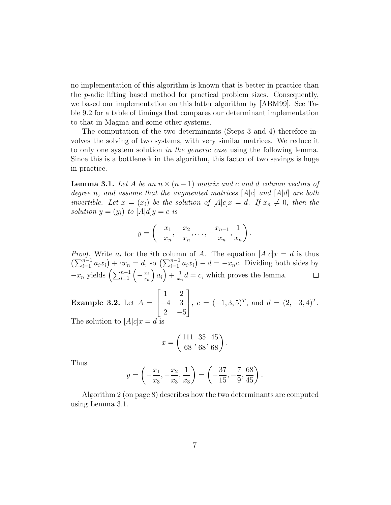no implementation of this algorithm is known that is better in practice than the p-adic lifting based method for practical problem sizes. Consequently, we based our implementation on this latter algorithm by [ABM99]. See Table 9.2 for a table of timings that compares our determinant implementation to that in Magma and some other systems.

The computation of the two determinants (Steps 3 and 4) therefore involves the solving of two systems, with very similar matrices. We reduce it to only one system solution in the generic case using the following lemma. Since this is a bottleneck in the algorithm, this factor of two savings is huge in practice.

**Lemma 3.1.** Let A be an  $n \times (n-1)$  matrix and c and d column vectors of degree n, and assume that the augmented matrices  $[A|c]$  and  $[A|d]$  are both invertible. Let  $x = (x_i)$  be the solution of  $[A]c]x = d$ . If  $x_n \neq 0$ , then the solution  $y = (y_i)$  to  $[A|d]y = c$  is

$$
y = \left(-\frac{x_1}{x_n}, -\frac{x_2}{x_n}, \dots, -\frac{x_{n-1}}{x_n}, \frac{1}{x_n}\right).
$$

*Proof.* Write  $a_i$  for the *i*th column of A. The equation  $[A|c]x = d$  is thus  $\left(\sum_{i=1}^{n-1} a_i x_i\right) + c x_n = d$ , so  $\left(\sum_{i=1}^{n-1} a_i x_i\right) - d = -x_n c$ . Dividing both sides by  $-x_n$  yields  $\left(\sum_{i=1}^{n-1}\left(-\frac{x_i}{x_n}\right)\right)$  $\bar{x}_n$  $\bigg(a_i\bigg) + \frac{1}{x_i}$  $\frac{1}{x_n}d = c$ , which proves the lemma.

Example 3.2. Let  $A =$  $\sqrt{ }$  $\overline{1}$ 1 2 −4 3 2  $-5$ 1  $, c = (-1, 3, 5)^T, \text{ and } d = (2, -3, 4)^T.$ The solution to  $[A|c]x = d$  is

$$
x = \left(\frac{111}{68}, \frac{35}{68}, \frac{45}{68}\right).
$$

Thus

$$
y = \left(-\frac{x_1}{x_3}, -\frac{x_2}{x_3}, \frac{1}{x_3}\right) = \left(-\frac{37}{15}, -\frac{7}{9}, \frac{68}{45}\right).
$$

Algorithm 2 (on page 8) describes how the two determinants are computed using Lemma 3.1.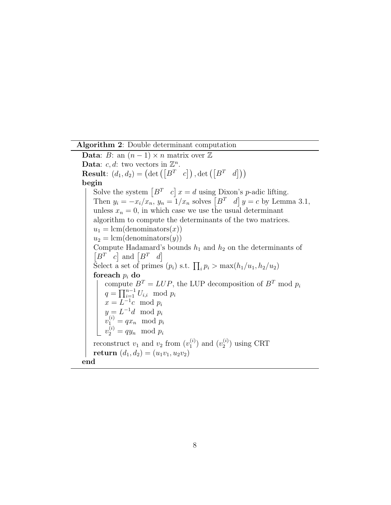Algorithm 2: Double determinant computation

Data: B: an  $(n-1) \times n$  matrix over Z Data: c, d: two vectors in  $\mathbb{Z}^n$ . **Result**:  $(d_1, d_2) = (\det \left( \begin{bmatrix} B^T & c \end{bmatrix} \right), \det \left( \begin{bmatrix} B^T & d \end{bmatrix} \right))$ begin Solve the system  $\begin{bmatrix} B^T & c \end{bmatrix} x = d$  using Dixon's *p*-adic lifting. Then  $y_i = -x_i/x_n$ ,  $y_n = 1/x_n$  solves  $\begin{bmatrix} B^T & d \end{bmatrix} y = c$  by Lemma 3.1, unless  $x_n = 0$ , in which case we use the usual determinant algorithm to compute the determinants of the two matrices.  $u_1 = \text{lcm}(\text{denominators}(x))$  $u_2 = \text{lcm}(\text{denominators}(y))$ Compute Hadamard's bounds  $h_1$  and  $h_2$  on the determinants of  $[B^T \quad c]$  and  $[B^T \quad d]$ Select a set of primes  $(p_i)$  s.t.  $\prod_i p_i > \max(h_1/u_1, h_2/u_2)$ for<br>each  $p_i$  do  $\!$ compute  $B^T = LUP$ , the LUP decomposition of  $B^T$  mod  $p_i$  $q = \prod_{i=1}^{n-1} U_{i,i} \mod p_i$  $x = L^{-1}c \mod p_i$  $y = L^{-1}d \mod p_i$  $v_1^{(i)} = qx_n \mod p_i$  $v_2^{(i)} = qy_n \mod p_i$ reconstruct  $v_1$  and  $v_2$  from  $(v_1^{(i)})$  $\binom{i}{1}$  and  $\binom{v_2^{(i)}}{1}$  $_2^{(i)}$ ) using CRT return  $(d_1, d_2) = (u_1v_1, u_2v_2)$ end

8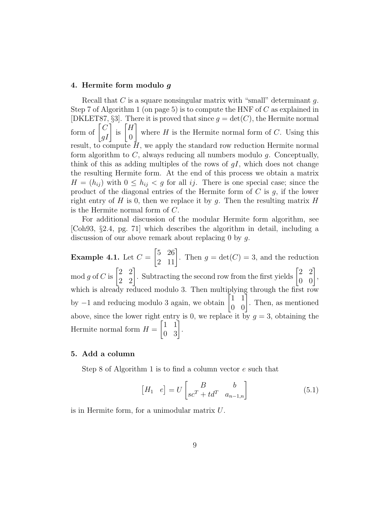## 4. Hermite form modulo g

Recall that  $C$  is a square nonsingular matrix with "small" determinant  $g$ . Step 7 of Algorithm 1 (on page 5) is to compute the HNF of  $C$  as explained in [DKLET87, §3]. There it is proved that since  $q = \det(C)$ , the Hermite normal form of  $\begin{bmatrix} C \\ gI \end{bmatrix}$  is  $\begin{bmatrix} H \\ 0 \end{bmatrix}$ 0 1 where  $H$  is the Hermite normal form of  $C$ . Using this result, to compute  $H$ , we apply the standard row reduction Hermite normal form algorithm to  $C$ , always reducing all numbers modulo  $g$ . Conceptually, think of this as adding multiples of the rows of  $qI$ , which does not change the resulting Hermite form. At the end of this process we obtain a matrix  $H = (h_{ij})$  with  $0 \leq h_{ij} < g$  for all ij. There is one special case; since the product of the diagonal entries of the Hermite form of  $C$  is  $g$ , if the lower right entry of H is 0, then we replace it by q. Then the resulting matrix H is the Hermite normal form of C.

For additional discussion of the modular Hermite form algorithm, see [Coh93, §2.4, pg. 71] which describes the algorithm in detail, including a discussion of our above remark about replacing 0 by g.

Example 4.1. Let  $C=$  $\begin{bmatrix} 5 & 26 \\ 2 & 11 \end{bmatrix}$ . Then  $g = \det(C) = 3$ , and the reduction mod g of C is  $\begin{bmatrix} 2 & 2 \\ 2 & 2 \end{bmatrix}$ . Subtracting the second row from the first yields  $\begin{bmatrix} 2 & 2 \\ 0 & 0 \end{bmatrix}$ , which is already reduced modulo 3. Then multiplying through the first row by  $-1$  and reducing modulo 3 again, we obtain  $\begin{bmatrix} 1 & 1 \\ 0 & 0 \end{bmatrix}$ . Then, as mentioned above, since the lower right entry is 0, we replace it by  $g = 3$ , obtaining the Hermite normal form  $H =$  $\begin{bmatrix} 1 & 1 \\ 0 & 3 \end{bmatrix}$ .

## 5. Add a column

Step 8 of Algorithm 1 is to find a column vector e such that

$$
\begin{bmatrix} H_1 & e \end{bmatrix} = U \begin{bmatrix} B & b \\ sc^T + td^T & a_{n-1,n} \end{bmatrix}
$$
 (5.1)

is in Hermite form, for a unimodular matrix U.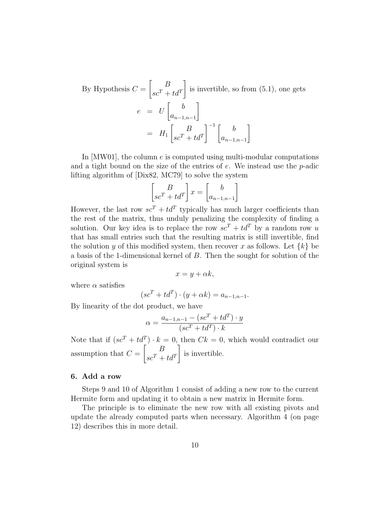By Hypothesis 
$$
C = \begin{bmatrix} B \\ sc^T + td^T \end{bmatrix}
$$
 is invertible, so from (5.1), one gets  
\n
$$
e = U \begin{bmatrix} b \\ a_{n-1,n-1} \end{bmatrix}
$$
\n
$$
= H_1 \begin{bmatrix} B \\ sc^T + td^T \end{bmatrix}^{-1} \begin{bmatrix} b \\ a_{n-1,n-1} \end{bmatrix}
$$

In [MW01], the column e is computed using multi-modular computations and a tight bound on the size of the entries of  $e$ . We instead use the  $p$ -adic lifting algorithm of [Dix82, MC79] to solve the system

$$
\begin{bmatrix} B \\ sc^T + td^T \end{bmatrix} x = \begin{bmatrix} b \\ a_{n-1,n-1} \end{bmatrix}
$$

However, the last row  $sc^T + td^T$  typically has much larger coefficients than the rest of the matrix, thus unduly penalizing the complexity of finding a solution. Our key idea is to replace the row  $sc^T + td^T$  by a random row u that has small entries such that the resulting matrix is still invertible, find the solution y of this modified system, then recover x as follows. Let  $\{k\}$  be a basis of the 1-dimensional kernel of B. Then the sought for solution of the original system is

$$
x = y + \alpha k,
$$

where  $\alpha$  satisfies

$$
(scT + tdT) \cdot (y + \alpha k) = an-1,n-1.
$$

By linearity of the dot product, we have

$$
\alpha = \frac{a_{n-1,n-1} - (sc^T + td^T) \cdot y}{(sc^T + td^T) \cdot k}
$$

Note that if  $(se^T + td^T) \cdot k = 0$ , then  $Ck = 0$ , which would contradict our assumption that  $C =$  $\begin{bmatrix} B \end{bmatrix}$  $sc^T + td^T$ 1 is invertible.

#### 6. Add a row

Steps 9 and 10 of Algorithm 1 consist of adding a new row to the current Hermite form and updating it to obtain a new matrix in Hermite form.

The principle is to eliminate the new row with all existing pivots and update the already computed parts when necessary. Algorithm 4 (on page 12) describes this in more detail.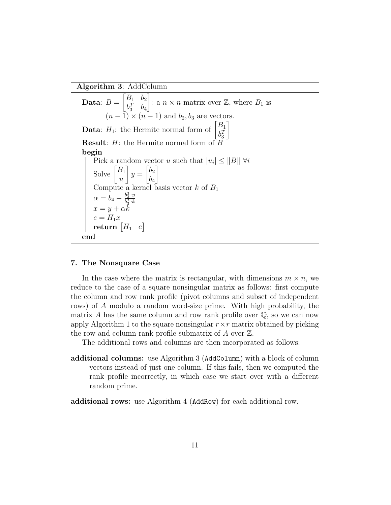Algorithm 3: AddColumn

Data:  $B =$  $\begin{bmatrix} B_1 & b_2 \end{bmatrix}$  $b_3^T$   $b_4$ : a  $n \times n$  matrix over  $\mathbb{Z}$ , where  $B_1$  is  $(n - 1) \times (n - 1)$  and  $b_2, b_3$  are vectors. **Data:**  $H_1$ : the Hermite normal form of  $\begin{bmatrix} B_1 \\ kT \end{bmatrix}$  $b_3^T$ 1 **Result:**  $H$ : the Hermite normal form of  $\overline{L}$ begin Pick a random vector u such that  $|u_i| \leq ||B|| \forall i$ Solve  $\begin{bmatrix} B_1 \\ B_2 \end{bmatrix}$  $\overline{u}$ 1  $y =$  $\lceil b_2 \rceil$  $b_4$ 1 Compute a kernel basis vector  $k$  of  $B_1$  $\alpha = b_4 - \frac{b_3^T \cdot y}{b_4^T \cdot k}$  $\overline{b_3^T\!\cdot\! k}$  $x = y + \alpha k$  $e = H_1x$  $\quad \textbf{return} \begin{bmatrix} H_1 & e \end{bmatrix}$ end

## 7. The Nonsquare Case

In the case where the matrix is rectangular, with dimensions  $m \times n$ , we reduce to the case of a square nonsingular matrix as follows: first compute the column and row rank profile (pivot columns and subset of independent rows) of A modulo a random word-size prime. With high probability, the matrix A has the same column and row rank profile over  $\mathbb{Q}$ , so we can now apply Algorithm 1 to the square nonsingular  $r \times r$  matrix obtained by picking the row and column rank profile submatrix of  $A$  over  $\mathbb{Z}$ .

The additional rows and columns are then incorporated as follows:

additional columns: use Algorithm 3 (AddColumn) with a block of column vectors instead of just one column. If this fails, then we computed the rank profile incorrectly, in which case we start over with a different random prime.

additional rows: use Algorithm 4 (AddRow) for each additional row.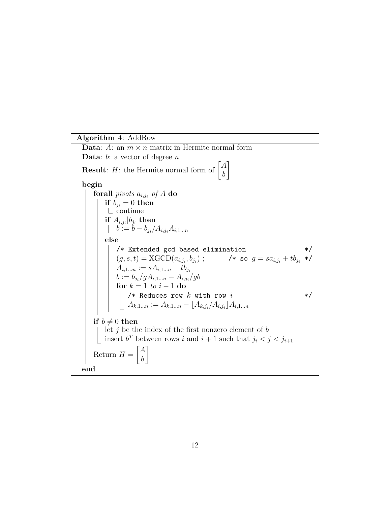## Algorithm 4: AddRow

Data: A: an  $m \times n$  matrix in Hermite normal form **Data:**  $b$ : a vector of degree  $n$ **Result:** *H*: the Hermite normal form of  $\begin{bmatrix} A \\ b \end{bmatrix}$ b 1 begin  $\bold{forall} \ \hbox{\it pivots} \ a_{i,j_i} \ \hbox{\it of} \ A \ \bold{do}$ if  $b_{j_i}=0$  then continue if  $A_{i,j_i}|b_{j_i}$  then  $b := b - b_{j_i}/A_{i,j_i}A_{i,1...n}$ else /\* Extended gcd based elimination \*/  $(g, s, t) = \text{XGCD}(a_{i,j_i}, b_{j_i})$ ;  $\qquad \qquad$  /\* so  $g = sa_{i,j_i} + tb_{j_i}$  \*/  $A_{i,1...n} := sA_{i,1...n} + tb_{j_i}$  $b:=b_{j_i}/gA_{i,1...n}-A_{i,j_i}/gb$ for  $k = 1$  to  $i - 1$  do /\* Reduces row  $k$  with row  $i$  \*/  $A_{k,1...n}:=A_{k,1...n}-\lfloor A_{k,j_i}/A_{i,j_i}\rfloor A_{i,1...n}$ if  $b \neq 0$  then let  $j$  be the index of the first nonzero element of  $b$ insert  $b^T$  between rows i and  $i + 1$  such that  $j_i < j < j_{i+1}$ Return  $H =$  $\lceil A \rceil$ b 1 end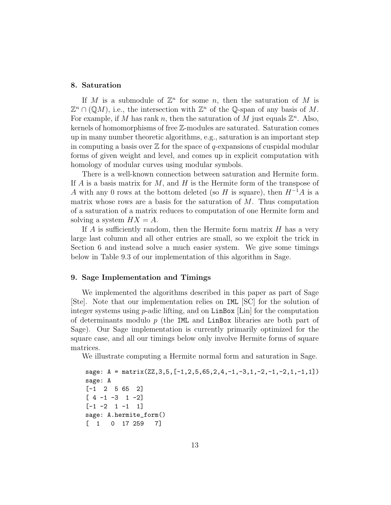#### 8. Saturation

If M is a submodule of  $\mathbb{Z}^n$  for some n, then the saturation of M is  $\mathbb{Z}^n \cap (\mathbb{Q}M)$ , i.e., the intersection with  $\mathbb{Z}^n$  of the Q-span of any basis of M. For example, if M has rank n, then the saturation of M just equals  $\mathbb{Z}^n$ . Also, kernels of homomorphisms of free Z-modules are saturated. Saturation comes up in many number theoretic algorithms, e.g., saturation is an important step in computing a basis over  $\mathbb Z$  for the space of q-expansions of cuspidal modular forms of given weight and level, and comes up in explicit computation with homology of modular curves using modular symbols.

There is a well-known connection between saturation and Hermite form. If A is a basis matrix for M, and H is the Hermite form of the transpose of A with any 0 rows at the bottom deleted (so H is square), then  $H^{-1}A$  is a matrix whose rows are a basis for the saturation of  $M$ . Thus computation of a saturation of a matrix reduces to computation of one Hermite form and solving a system  $HX = A$ .

If  $A$  is sufficiently random, then the Hermite form matrix  $H$  has a very large last column and all other entries are small, so we exploit the trick in Section 6 and instead solve a much easier system. We give some timings below in Table 9.3 of our implementation of this algorithm in Sage.

## 9. Sage Implementation and Timings

We implemented the algorithms described in this paper as part of Sage [Ste]. Note that our implementation relies on IML [SC] for the solution of integer systems using  $p$ -adic lifting, and on LinBox  $|Lin|$  for the computation of determinants modulo  $p$  (the IML and LinBox libraries are both part of Sage). Our Sage implementation is currently primarily optimized for the square case, and all our timings below only involve Hermite forms of square matrices.

We illustrate computing a Hermite normal form and saturation in Sage.

```
sage: A = matrix(ZZ,3,5,[-1,2,5,65,2,4,-1,-3,1,-2,-1,-2,1,-1,1])
sage: A
[-1 2 5 65 2]
[4 -1 -3 1 -2][-1 -2 1 -1 1]sage: A.hermite_form()
[ 1 0 17 259 7]
```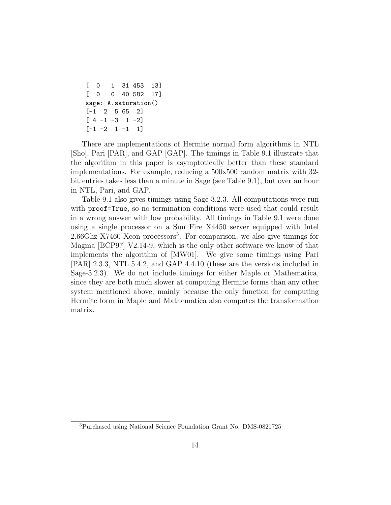```
[ 0 1 31 453 13]
[ 0 0 40 582 17]
sage: A.saturation()
[-1 2 5 65 2]
[4 -1 -3 1 -2][-1 -2 1 -1 1]
```
There are implementations of Hermite normal form algorithms in NTL [Sho], Pari [PAR], and GAP [GAP]. The timings in Table 9.1 illustrate that the algorithm in this paper is asymptotically better than these standard implementations. For example, reducing a 500x500 random matrix with 32 bit entries takes less than a minute in Sage (see Table 9.1), but over an hour in NTL, Pari, and GAP.

Table 9.1 also gives timings using Sage-3.2.3. All computations were run with **proof=True**, so no termination conditions were used that could result in a wrong answer with low probability. All timings in Table 9.1 were done using a single processor on a Sun Fire X4450 server equipped with Intel 2.66Ghz X7460 Xeon processors<sup>3</sup> . For comparison, we also give timings for Magma [BCP97] V2.14-9, which is the only other software we know of that implements the algorithm of [MW01]. We give some timings using Pari [PAR] 2.3.3, NTL 5.4.2, and GAP 4.4.10 (these are the versions included in Sage-3.2.3). We do not include timings for either Maple or Mathematica, since they are both much slower at computing Hermite forms than any other system mentioned above, mainly because the only function for computing Hermite form in Maple and Mathematica also computes the transformation matrix.

<sup>3</sup>Purchased using National Science Foundation Grant No. DMS-0821725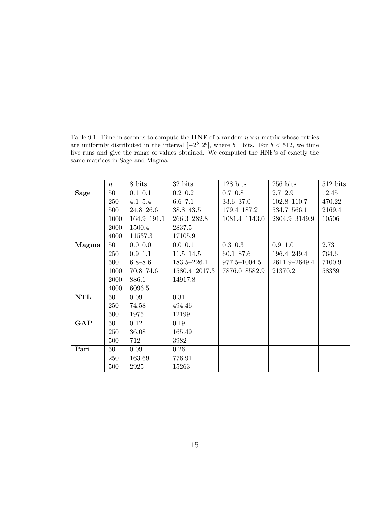Table 9.1: Time in seconds to compute the  ${\bf HNF}$  of a random  $n\times n$  matrix whose entries are uniformly distributed in the interval  $[-2^b, 2^b]$ , where b = bits. For  $b < 512$ , we time five runs and give the range of values obtained. We computed the HNF's of exactly the same matrices in Sage and Magma.

|            | $\boldsymbol{n}$ | 8 bits          | 32 bits         | $128$ bits    | $256$ bits      | $512$ bits |
|------------|------------------|-----------------|-----------------|---------------|-----------------|------------|
| Sage       | 50               | $0.1 - 0.1$     | $0.2 - 0.2$     | $0.7 - 0.8$   | $2.7 - 2.9$     | 12.45      |
|            | 250              | $4.1 - 5.4$     | $6.6 - 7.1$     | $33.6 - 37.0$ | $102.8 - 110.7$ | 470.22     |
|            | 500              | $24.8 - 26.6$   | $38.8 - 43.5$   | 179.4–187.2   | 534.7-566.1     | 2169.41    |
|            | 1000             | $164.9 - 191.1$ | $266.3 - 282.8$ | 1081.4–1143.0 | 2804.9-3149.9   | 10506      |
|            | 2000             | 1500.4          | 2837.5          |               |                 |            |
|            | 4000             | 11537.3         | 17105.9         |               |                 |            |
| Magma      | 50               | $0.0 - 0.0$     | $0.0 - 0.1$     | $0.3 - 0.3$   | $0.9 - 1.0$     | 2.73       |
|            | 250              | $0.9 - 1.1$     | $11.5 - 14.5$   | $60.1 - 87.6$ | 196.4-249.4     | 764.6      |
|            | 500              | $6.8 - 8.6$     | $183.5 - 226.1$ | 977.5-1004.5  | 2611.9-2649.4   | 7100.91    |
|            | 1000             | $70.8 - 74.6$   | 1580.4-2017.3   | 7876.0–8582.9 | 21370.2         | 58339      |
|            | 2000             | 886.1           | 14917.8         |               |                 |            |
|            | 4000             | 6096.5          |                 |               |                 |            |
| <b>NTL</b> | 50               | 0.09            | 0.31            |               |                 |            |
|            | 250              | 74.58           | 494.46          |               |                 |            |
|            | 500              | 1975            | 12199           |               |                 |            |
| GAP        | 50               | 0.12            | 0.19            |               |                 |            |
|            | 250              | 36.08           | 165.49          |               |                 |            |
|            | 500              | 712             | 3982            |               |                 |            |
| Pari       | 50               | 0.09            | 0.26            |               |                 |            |
|            | 250              | 163.69          | 776.91          |               |                 |            |
|            | 500              | 2925            | 15263           |               |                 |            |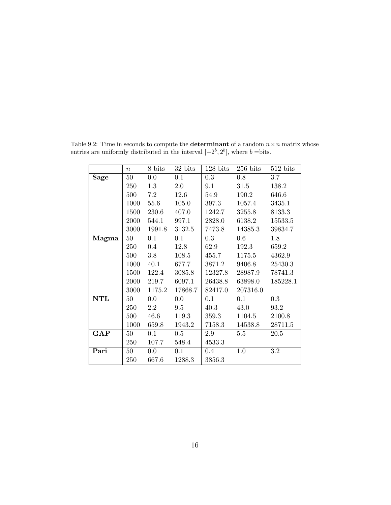|            | $\boldsymbol{n}$ | 8 bits  | 32 bits | $128$ bits | $256$ bits | $512$ bits |
|------------|------------------|---------|---------|------------|------------|------------|
| Sage       | 50               | 0.0     | 0.1     | 0.3        | 0.8        | 3.7        |
|            | 250              | 1.3     | 2.0     | 9.1        | 31.5       | 138.2      |
|            | 500              | 7.2     | 12.6    | 54.9       | 190.2      | 646.6      |
|            | 1000             | 55.6    | 105.0   | 397.3      | 1057.4     | 3435.1     |
|            | 1500             | 230.6   | 407.0   | 1242.7     | 3255.8     | 8133.3     |
|            | 2000             | 544.1   | 997.1   | 2828.0     | 6138.2     | 15533.5    |
|            | 3000             | 1991.8  | 3132.5  | 7473.8     | 14385.3    | 39834.7    |
| Magma      | 50               | 0.1     | 0.1     | 0.3        | 0.6        | 1.8        |
|            | 250              | $0.4\,$ | 12.8    | 62.9       | 192.3      | 659.2      |
|            | 500              | 3.8     | 108.5   | 455.7      | 1175.5     | 4362.9     |
|            | 1000             | 40.1    | 677.7   | 3871.2     | 9406.8     | 25430.3    |
|            | 1500             | 122.4   | 3085.8  | 12327.8    | 28987.9    | 78741.3    |
|            | 2000             | 219.7   | 6097.1  | 26438.8    | 63898.0    | 185228.1   |
|            | 3000             | 1175.2  | 17868.7 | 82417.0    | 207316.0   |            |
| <b>NTL</b> | 50               | 0.0     | 0.0     | 0.1        | 0.1        | 0.3        |
|            | 250              | $2.2\,$ | 9.5     | 40.3       | 43.0       | 93.2       |
|            | 500              | 46.6    | 119.3   | 359.3      | 1104.5     | 2100.8     |
|            | 1000             | 659.8   | 1943.2  | 7158.3     | 14538.8    | 28711.5    |
| GAP        | 50               | 0.1     | 0.5     | 2.9        | 5.5        | 20.5       |
|            | 250              | 107.7   | 548.4   | 4533.3     |            |            |
| Pari       | 50               | 0.0     | 0.1     | $0.4\,$    | 1.0        | 3.2        |
|            | 250              | 667.6   | 1288.3  | 3856.3     |            |            |
|            |                  |         |         |            |            |            |

Table 9.2: Time in seconds to compute the **determinant** of a random  $n \times n$  matrix whose entries are uniformly distributed in the interval  $[-2^b, 2^b]$ , where  $b = \text{bits.}$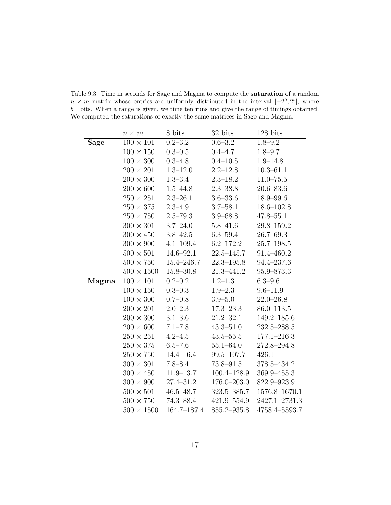Table 9.3: Time in seconds for Sage and Magma to compute the saturation of a random  $n \times m$  matrix whose entries are uniformly distributed in the interval  $[-2^b, 2^b]$ , where  $b = \text{bits}$ . When a range is given, we time ten runs and give the range of timings obtained. We computed the saturations of exactly the same matrices in Sage and Magma.

|             | $n \times m$      | 8 bits               | 32 bits         | 128 bits        |
|-------------|-------------------|----------------------|-----------------|-----------------|
| <b>Sage</b> | $100\times101$    | $\overline{0.2-3.2}$ | $0.6 - 3.2$     | $1.8 - 9.2$     |
|             | $100\times150$    | $0.3 - 0.5$          | $0.4 - 4.7$     | $1.8 - 9.7$     |
|             | $100\times300$    | $0.3 - 4.8$          | $0.4 - 10.5$    | $1.9 - 14.8$    |
|             | $200\times201$    | $1.3 - 12.0$         | $2.2 - 12.8$    | $10.3 - 61.1$   |
|             | $200\times300$    | $1.3 - 3.4$          | $2.3 - 18.2$    | $11.0 - 75.5$   |
|             | $200\times600$    | $1.5 - 44.8$         | $2.3 - 38.8$    | $20.6 - 83.6$   |
|             | $250\times251$    | $2.3 - 26.1$         | $3.6 - 33.6$    | $18.9 - 99.6$   |
|             | $250\times375$    | $2.3 - 4.9$          | $3.7 - 58.1$    | $18.6 - 102.8$  |
|             | $250\times750$    | $2.5 - 79.3$         | $3.9 - 68.8$    | $47.8 - 55.1$   |
|             | $300\times301$    | $3.7 - 24.0$         | $5.8 - 41.6$    | $29.8 - 159.2$  |
|             | $300 \times 450$  | $3.8 - 42.5$         | $6.3 - 59.4$    | $26.7 - 69.3$   |
|             | $300\times900$    | $4.1 - 109.4$        | $6.2 - 172.2$   | $25.7 - 198.5$  |
|             | $500 \times 501$  | $14.6 - 92.1$        | $22.5 - 145.7$  | 91.4-460.2      |
|             | $500 \times 750$  | $15.4 - 246.7$       | $22.3 - 195.8$  | 94.4-237.6      |
|             | $500\times1500$   | $15.8 - 30.8$        | 21.3-441.2      | 95.9-873.3      |
| Magma       | $100\times101$    | $0.2 - 0.2$          | $1.2 - 1.3$     | $6.3 - 9.6$     |
|             | $100\times150$    | $0.3 - 0.3$          | $1.9 - 2.3$     | $9.6 - 11.9$    |
|             | $100 \times 300$  | $0.7 - 0.8$          | $3.9 - 5.0$     | $22.0 - 26.8$   |
|             | $200\times201$    | $2.0 - 2.3$          | $17.3 - 23.3$   | $86.0 - 113.5$  |
|             | $200\times300$    | $3.1 - 3.6$          | $21.2 - 32.1$   | $149.2 - 185.6$ |
|             | $200\times600$    | $7.1 - 7.8$          | $43.3 - 51.0$   | $232.5 - 288.5$ |
|             | $250\times251$    | $4.2 - 4.5$          | $43.5 - 55.5$   | $177.1 - 216.3$ |
|             | $250\times375$    | $6.5 - 7.6$          | $55.1 - 64.0$   | 272.8-294.8     |
|             | $250\times750$    | $14.4 - 16.4$        | 99.5-107.7      | 426.1           |
|             | $300\times301$    | $7.8 - 8.4$          | 73.8-91.5       | 378.5-434.2     |
|             | $300 \times 450$  | $11.9 - 13.7$        | $100.4 - 128.9$ | 369.9-455.3     |
|             | $300\times900$    | $27.4 - 31.2$        | $176.0 - 203.0$ | 822.9-923.9     |
|             | $500 \times 501$  | $46.5 - 48.7$        | 323.5-385.7     | 1576.8-1670.1   |
|             | $500 \times 750$  | $74.3 - 88.4$        | $421.9 - 554.9$ | 2427.1-2731.3   |
|             | $500 \times 1500$ | 164.7-187.4          | 855.2-935.8     | 4758.4-5593.7   |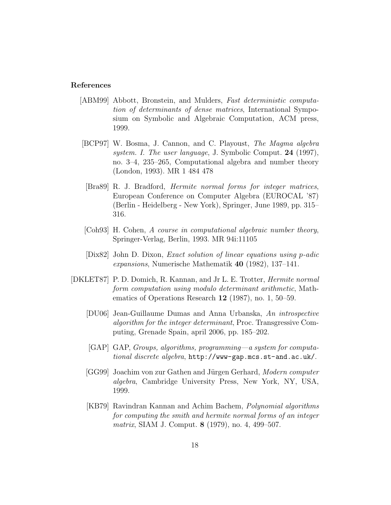#### References

- [ABM99] Abbott, Bronstein, and Mulders, Fast deterministic computation of determinants of dense matrices, International Symposium on Symbolic and Algebraic Computation, ACM press, 1999.
- [BCP97] W. Bosma, J. Cannon, and C. Playoust, The Magma algebra system. I. The user language, J. Symbolic Comput. 24 (1997), no. 3–4, 235–265, Computational algebra and number theory (London, 1993). MR 1 484 478
- [Bra89] R. J. Bradford, Hermite normal forms for integer matrices, European Conference on Computer Algebra (EUROCAL '87) (Berlin - Heidelberg - New York), Springer, June 1989, pp. 315– 316.
- [Coh93] H. Cohen, A course in computational algebraic number theory, Springer-Verlag, Berlin, 1993. MR 94i:11105
- [Dix82] John D. Dixon, Exact solution of linear equations using p-adic expansions, Numerische Mathematik 40 (1982), 137–141.
- [DKLET87] P. D. Domich, R. Kannan, and Jr L. E. Trotter, Hermite normal form computation using modulo determinant arithmetic, Mathematics of Operations Research 12 (1987), no. 1, 50–59.
	- [DU06] Jean-Guillaume Dumas and Anna Urbanska, An introspective algorithm for the integer determinant, Proc. Transgressive Computing, Grenade Spain, april 2006, pp. 185–202.
	- [GAP] GAP, Groups, algorithms, programming—a system for computational discrete algebra, http://www-gap.mcs.st-and.ac.uk/.
	- [GG99] Joachim von zur Gathen and Jürgen Gerhard, Modern computer algebra, Cambridge University Press, New York, NY, USA, 1999.
	- [KB79] Ravindran Kannan and Achim Bachem, Polynomial algorithms for computing the smith and hermite normal forms of an integer matrix, SIAM J. Comput. 8 (1979), no. 4, 499–507.